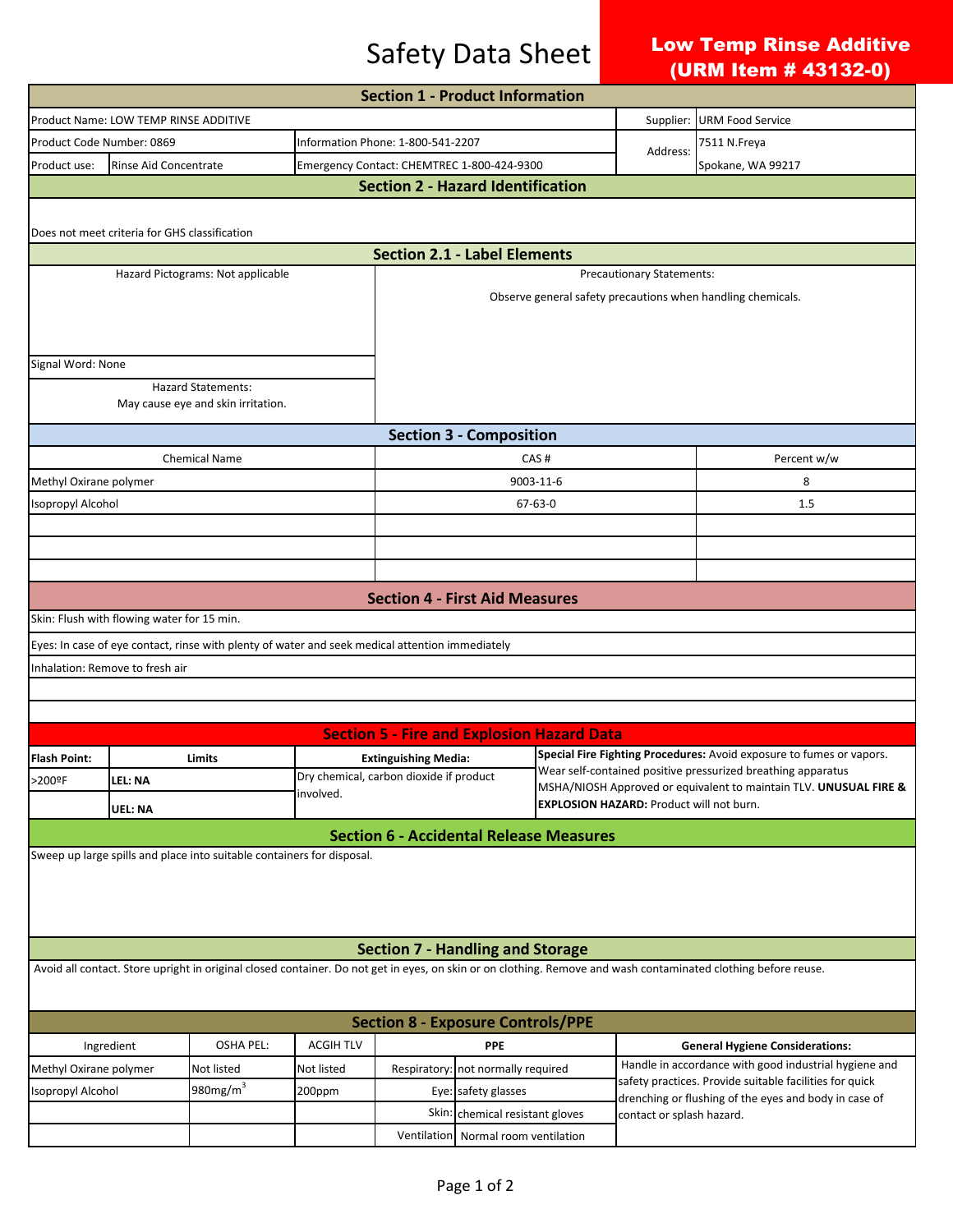## Safety Data Sheet

## Low Temp Rinse Additive (URM Item # 43132-0)

|                                                                                                                                                                                                           |                                                                                                 |                                                                            |                                                      | <b>Section 1 - Product Information</b>                                 |                                            |                                                                                                                                      |                           |                                                                                                                  |  |  |  |  |  |
|-----------------------------------------------------------------------------------------------------------------------------------------------------------------------------------------------------------|-------------------------------------------------------------------------------------------------|----------------------------------------------------------------------------|------------------------------------------------------|------------------------------------------------------------------------|--------------------------------------------|--------------------------------------------------------------------------------------------------------------------------------------|---------------------------|------------------------------------------------------------------------------------------------------------------|--|--|--|--|--|
|                                                                                                                                                                                                           | Product Name: LOW TEMP RINSE ADDITIVE                                                           |                                                                            |                                                      |                                                                        |                                            | Supplier: URM Food Service                                                                                                           |                           |                                                                                                                  |  |  |  |  |  |
| Product Code Number: 0869                                                                                                                                                                                 |                                                                                                 |                                                                            |                                                      | Information Phone: 1-800-541-2207                                      |                                            |                                                                                                                                      | Address:                  | 7511 N.Freya                                                                                                     |  |  |  |  |  |
| Product use:                                                                                                                                                                                              | Rinse Aid Concentrate                                                                           |                                                                            |                                                      |                                                                        | Emergency Contact: CHEMTREC 1-800-424-9300 |                                                                                                                                      |                           | Spokane, WA 99217                                                                                                |  |  |  |  |  |
| <b>Section 2 - Hazard Identification</b>                                                                                                                                                                  |                                                                                                 |                                                                            |                                                      |                                                                        |                                            |                                                                                                                                      |                           |                                                                                                                  |  |  |  |  |  |
|                                                                                                                                                                                                           |                                                                                                 |                                                                            |                                                      |                                                                        |                                            |                                                                                                                                      |                           |                                                                                                                  |  |  |  |  |  |
|                                                                                                                                                                                                           | Does not meet criteria for GHS classification                                                   |                                                                            |                                                      |                                                                        |                                            |                                                                                                                                      |                           |                                                                                                                  |  |  |  |  |  |
| <b>Section 2.1 - Label Elements</b>                                                                                                                                                                       |                                                                                                 |                                                                            |                                                      |                                                                        |                                            |                                                                                                                                      |                           |                                                                                                                  |  |  |  |  |  |
| Hazard Pictograms: Not applicable                                                                                                                                                                         |                                                                                                 |                                                                            |                                                      | <b>Precautionary Statements:</b>                                       |                                            |                                                                                                                                      |                           |                                                                                                                  |  |  |  |  |  |
|                                                                                                                                                                                                           |                                                                                                 |                                                                            |                                                      | Observe general safety precautions when handling chemicals.            |                                            |                                                                                                                                      |                           |                                                                                                                  |  |  |  |  |  |
|                                                                                                                                                                                                           |                                                                                                 |                                                                            |                                                      |                                                                        |                                            |                                                                                                                                      |                           |                                                                                                                  |  |  |  |  |  |
|                                                                                                                                                                                                           |                                                                                                 |                                                                            |                                                      |                                                                        |                                            |                                                                                                                                      |                           |                                                                                                                  |  |  |  |  |  |
| Signal Word: None                                                                                                                                                                                         |                                                                                                 |                                                                            |                                                      |                                                                        |                                            |                                                                                                                                      |                           |                                                                                                                  |  |  |  |  |  |
|                                                                                                                                                                                                           | <b>Hazard Statements:</b><br>May cause eye and skin irritation.                                 |                                                                            |                                                      |                                                                        |                                            |                                                                                                                                      |                           |                                                                                                                  |  |  |  |  |  |
|                                                                                                                                                                                                           |                                                                                                 |                                                                            |                                                      |                                                                        |                                            |                                                                                                                                      |                           |                                                                                                                  |  |  |  |  |  |
|                                                                                                                                                                                                           |                                                                                                 |                                                                            |                                                      |                                                                        | <b>Section 3 - Composition</b>             |                                                                                                                                      |                           |                                                                                                                  |  |  |  |  |  |
| <b>Chemical Name</b>                                                                                                                                                                                      |                                                                                                 |                                                                            |                                                      | CAS#                                                                   |                                            |                                                                                                                                      |                           | Percent w/w                                                                                                      |  |  |  |  |  |
| Methyl Oxirane polymer                                                                                                                                                                                    |                                                                                                 |                                                                            |                                                      | 9003-11-6                                                              |                                            |                                                                                                                                      |                           | 8                                                                                                                |  |  |  |  |  |
| Isopropyl Alcohol                                                                                                                                                                                         |                                                                                                 |                                                                            |                                                      |                                                                        |                                            | $67 - 63 - 0$                                                                                                                        |                           | 1.5                                                                                                              |  |  |  |  |  |
|                                                                                                                                                                                                           |                                                                                                 |                                                                            |                                                      |                                                                        |                                            |                                                                                                                                      |                           |                                                                                                                  |  |  |  |  |  |
|                                                                                                                                                                                                           |                                                                                                 |                                                                            |                                                      |                                                                        |                                            |                                                                                                                                      |                           |                                                                                                                  |  |  |  |  |  |
|                                                                                                                                                                                                           |                                                                                                 |                                                                            |                                                      |                                                                        |                                            |                                                                                                                                      |                           |                                                                                                                  |  |  |  |  |  |
|                                                                                                                                                                                                           |                                                                                                 |                                                                            |                                                      | <b>Section 4 - First Aid Measures</b>                                  |                                            |                                                                                                                                      |                           |                                                                                                                  |  |  |  |  |  |
|                                                                                                                                                                                                           | Skin: Flush with flowing water for 15 min.                                                      |                                                                            |                                                      |                                                                        |                                            |                                                                                                                                      |                           |                                                                                                                  |  |  |  |  |  |
|                                                                                                                                                                                                           | Eyes: In case of eye contact, rinse with plenty of water and seek medical attention immediately |                                                                            |                                                      |                                                                        |                                            |                                                                                                                                      |                           |                                                                                                                  |  |  |  |  |  |
|                                                                                                                                                                                                           | Inhalation: Remove to fresh air                                                                 |                                                                            |                                                      |                                                                        |                                            |                                                                                                                                      |                           |                                                                                                                  |  |  |  |  |  |
|                                                                                                                                                                                                           |                                                                                                 |                                                                            |                                                      |                                                                        |                                            |                                                                                                                                      |                           |                                                                                                                  |  |  |  |  |  |
|                                                                                                                                                                                                           |                                                                                                 |                                                                            |                                                      |                                                                        |                                            |                                                                                                                                      |                           |                                                                                                                  |  |  |  |  |  |
|                                                                                                                                                                                                           |                                                                                                 |                                                                            |                                                      | <b>Section 5 - Fire and Explosion Hazard Data</b>                      |                                            |                                                                                                                                      |                           |                                                                                                                  |  |  |  |  |  |
| <b>Flash Point:</b>                                                                                                                                                                                       | Limits                                                                                          |                                                                            | <b>Extinguishing Media:</b>                          |                                                                        |                                            | Special Fire Fighting Procedures: Avoid exposure to fumes or vapors.<br>Wear self-contained positive pressurized breathing apparatus |                           |                                                                                                                  |  |  |  |  |  |
| >200ºF                                                                                                                                                                                                    | LEL: NA                                                                                         |                                                                            | Dry chemical, carbon dioxide if product<br>involved. |                                                                        |                                            | MSHA/NIOSH Approved or equivalent to maintain TLV. UNUSUAL FIRE &                                                                    |                           |                                                                                                                  |  |  |  |  |  |
|                                                                                                                                                                                                           | UEL: NA                                                                                         |                                                                            |                                                      |                                                                        |                                            |                                                                                                                                      |                           | <b>EXPLOSION HAZARD: Product will not burn.</b>                                                                  |  |  |  |  |  |
|                                                                                                                                                                                                           |                                                                                                 |                                                                            |                                                      | <b>Section 6 - Accidental Release Measures</b>                         |                                            |                                                                                                                                      |                           |                                                                                                                  |  |  |  |  |  |
|                                                                                                                                                                                                           | Sweep up large spills and place into suitable containers for disposal.                          |                                                                            |                                                      |                                                                        |                                            |                                                                                                                                      |                           |                                                                                                                  |  |  |  |  |  |
|                                                                                                                                                                                                           |                                                                                                 |                                                                            |                                                      |                                                                        |                                            |                                                                                                                                      |                           |                                                                                                                  |  |  |  |  |  |
|                                                                                                                                                                                                           |                                                                                                 |                                                                            |                                                      |                                                                        |                                            |                                                                                                                                      |                           |                                                                                                                  |  |  |  |  |  |
|                                                                                                                                                                                                           |                                                                                                 |                                                                            |                                                      |                                                                        |                                            |                                                                                                                                      |                           |                                                                                                                  |  |  |  |  |  |
|                                                                                                                                                                                                           |                                                                                                 |                                                                            |                                                      |                                                                        |                                            |                                                                                                                                      |                           |                                                                                                                  |  |  |  |  |  |
| <b>Section 7 - Handling and Storage</b><br>Avoid all contact. Store upright in original closed container. Do not get in eyes, on skin or on clothing. Remove and wash contaminated clothing before reuse. |                                                                                                 |                                                                            |                                                      |                                                                        |                                            |                                                                                                                                      |                           |                                                                                                                  |  |  |  |  |  |
|                                                                                                                                                                                                           |                                                                                                 |                                                                            |                                                      |                                                                        |                                            |                                                                                                                                      |                           |                                                                                                                  |  |  |  |  |  |
|                                                                                                                                                                                                           |                                                                                                 |                                                                            |                                                      |                                                                        |                                            |                                                                                                                                      |                           |                                                                                                                  |  |  |  |  |  |
| <b>OSHA PEL:</b>                                                                                                                                                                                          |                                                                                                 | <b>Section 8 - Exposure Controls/PPE</b><br><b>ACGIH TLV</b><br><b>PPE</b> |                                                      |                                                                        |                                            |                                                                                                                                      |                           |                                                                                                                  |  |  |  |  |  |
| Ingredient<br>Methyl Oxirane polymer                                                                                                                                                                      |                                                                                                 | Not listed                                                                 | Not listed                                           |                                                                        |                                            |                                                                                                                                      |                           | <b>General Hygiene Considerations:</b><br>Handle in accordance with good industrial hygiene and                  |  |  |  |  |  |
|                                                                                                                                                                                                           |                                                                                                 | 980 $mg/m3$                                                                |                                                      | Respiratory: not normally required                                     |                                            |                                                                                                                                      |                           | safety practices. Provide suitable facilities for quick<br>drenching or flushing of the eyes and body in case of |  |  |  |  |  |
| Isopropyl Alcohol                                                                                                                                                                                         |                                                                                                 |                                                                            | Eye: safety glasses<br>200ppm                        |                                                                        |                                            |                                                                                                                                      |                           |                                                                                                                  |  |  |  |  |  |
|                                                                                                                                                                                                           |                                                                                                 |                                                                            |                                                      | Skin: chemical resistant gloves<br>Ventilation Normal room ventilation |                                            |                                                                                                                                      | contact or splash hazard. |                                                                                                                  |  |  |  |  |  |
|                                                                                                                                                                                                           |                                                                                                 |                                                                            |                                                      |                                                                        |                                            |                                                                                                                                      |                           |                                                                                                                  |  |  |  |  |  |